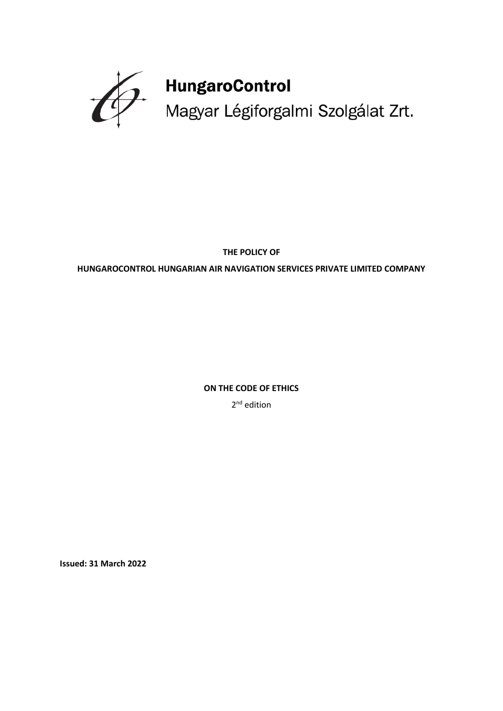

**THE POLICY OF** 

**HUNGAROCONTROL HUNGARIAN AIR NAVIGATION SERVICES PRIVATE LIMITED COMPANY**

**ON THE CODE OF ETHICS** 

2<sup>nd</sup> edition

**Issued: 31 March 2022**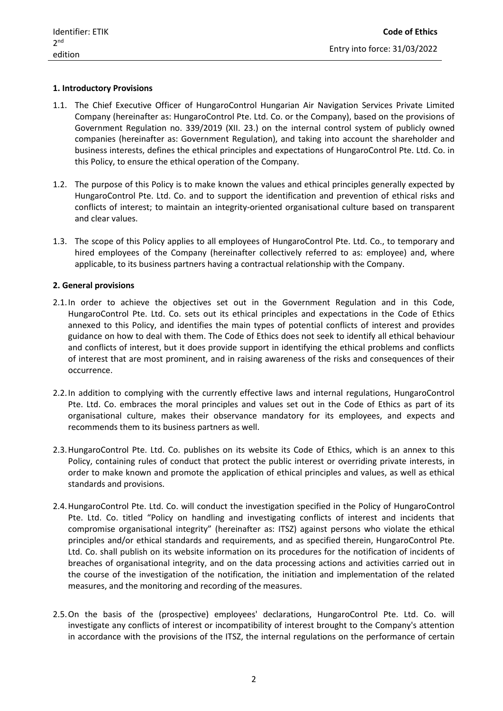# **1. Introductory Provisions**

- 1.1. The Chief Executive Officer of HungaroControl Hungarian Air Navigation Services Private Limited Company (hereinafter as: HungaroControl Pte. Ltd. Co. or the Company), based on the provisions of Government Regulation no. 339/2019 (XII. 23.) on the internal control system of publicly owned companies (hereinafter as: Government Regulation), and taking into account the shareholder and business interests, defines the ethical principles and expectations of HungaroControl Pte. Ltd. Co. in this Policy, to ensure the ethical operation of the Company.
- 1.2. The purpose of this Policy is to make known the values and ethical principles generally expected by HungaroControl Pte. Ltd. Co. and to support the identification and prevention of ethical risks and conflicts of interest; to maintain an integrity-oriented organisational culture based on transparent and clear values.
- 1.3. The scope of this Policy applies to all employees of HungaroControl Pte. Ltd. Co., to temporary and hired employees of the Company (hereinafter collectively referred to as: employee) and, where applicable, to its business partners having a contractual relationship with the Company.

# **2. General provisions**

- 2.1.In order to achieve the objectives set out in the Government Regulation and in this Code, HungaroControl Pte. Ltd. Co. sets out its ethical principles and expectations in the Code of Ethics annexed to this Policy, and identifies the main types of potential conflicts of interest and provides guidance on how to deal with them. The Code of Ethics does not seek to identify all ethical behaviour and conflicts of interest, but it does provide support in identifying the ethical problems and conflicts of interest that are most prominent, and in raising awareness of the risks and consequences of their occurrence.
- 2.2.In addition to complying with the currently effective laws and internal regulations, HungaroControl Pte. Ltd. Co. embraces the moral principles and values set out in the Code of Ethics as part of its organisational culture, makes their observance mandatory for its employees, and expects and recommends them to its business partners as well.
- 2.3.HungaroControl Pte. Ltd. Co. publishes on its website its Code of Ethics, which is an annex to this Policy, containing rules of conduct that protect the public interest or overriding private interests, in order to make known and promote the application of ethical principles and values, as well as ethical standards and provisions.
- 2.4.HungaroControl Pte. Ltd. Co. will conduct the investigation specified in the Policy of HungaroControl Pte. Ltd. Co. titled "Policy on handling and investigating conflicts of interest and incidents that compromise organisational integrity" (hereinafter as: ITSZ) against persons who violate the ethical principles and/or ethical standards and requirements, and as specified therein, HungaroControl Pte. Ltd. Co. shall publish on its website information on its procedures for the notification of incidents of breaches of organisational integrity, and on the data processing actions and activities carried out in the course of the investigation of the notification, the initiation and implementation of the related measures, and the monitoring and recording of the measures.
- 2.5.On the basis of the (prospective) employees' declarations, HungaroControl Pte. Ltd. Co. will investigate any conflicts of interest or incompatibility of interest brought to the Company's attention in accordance with the provisions of the ITSZ, the internal regulations on the performance of certain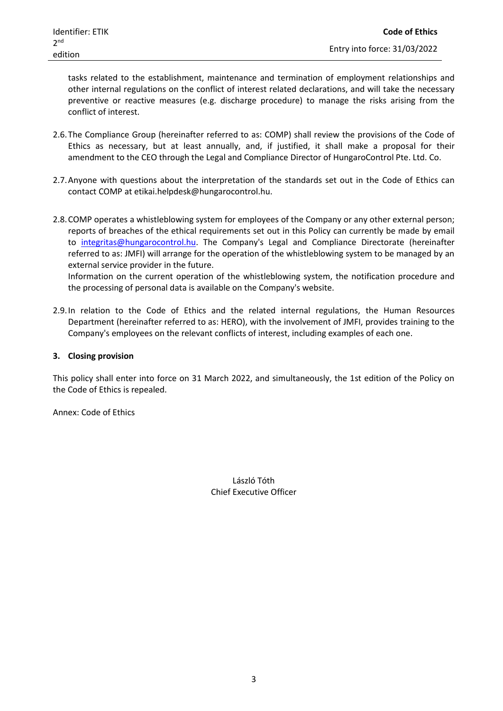tasks related to the establishment, maintenance and termination of employment relationships and other internal regulations on the conflict of interest related declarations, and will take the necessary preventive or reactive measures (e.g. discharge procedure) to manage the risks arising from the conflict of interest.

- 2.6.The Compliance Group (hereinafter referred to as: COMP) shall review the provisions of the Code of Ethics as necessary, but at least annually, and, if justified, it shall make a proposal for their amendment to the CEO through the Legal and Compliance Director of HungaroControl Pte. Ltd. Co.
- 2.7.Anyone with questions about the interpretation of the standards set out in the Code of Ethics can contact COMP at etikai.helpdesk@hungarocontrol.hu.
- 2.8.COMP operates a whistleblowing system for employees of the Company or any other external person; reports of breaches of the ethical requirements set out in this Policy can currently be made by email to [integritas@hungarocontrol.hu.](mailto:integritas@hungarocontrol.hu) The Company's Legal and Compliance Directorate (hereinafter referred to as: JMFI) will arrange for the operation of the whistleblowing system to be managed by an external service provider in the future.

Information on the current operation of the whistleblowing system, the notification procedure and the processing of personal data is available on the Company's website.

2.9.In relation to the Code of Ethics and the related internal regulations, the Human Resources Department (hereinafter referred to as: HERO), with the involvement of JMFI, provides training to the Company's employees on the relevant conflicts of interest, including examples of each one.

## **3. Closing provision**

This policy shall enter into force on 31 March 2022, and simultaneously, the 1st edition of the Policy on the Code of Ethics is repealed.

Annex: Code of Ethics

László Tóth Chief Executive Officer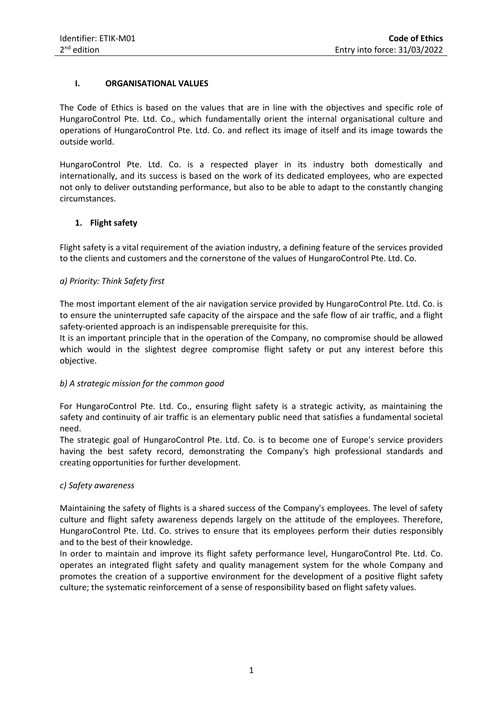# **I. ORGANISATIONAL VALUES**

The Code of Ethics is based on the values that are in line with the objectives and specific role of HungaroControl Pte. Ltd. Co., which fundamentally orient the internal organisational culture and operations of HungaroControl Pte. Ltd. Co. and reflect its image of itself and its image towards the outside world.

HungaroControl Pte. Ltd. Co. is a respected player in its industry both domestically and internationally, and its success is based on the work of its dedicated employees, who are expected not only to deliver outstanding performance, but also to be able to adapt to the constantly changing circumstances.

# **1. Flight safety**

Flight safety is a vital requirement of the aviation industry, a defining feature of the services provided to the clients and customers and the cornerstone of the values of HungaroControl Pte. Ltd. Co.

# *a) Priority: Think Safety first*

The most important element of the air navigation service provided by HungaroControl Pte. Ltd. Co. is to ensure the uninterrupted safe capacity of the airspace and the safe flow of air traffic, and a flight safety-oriented approach is an indispensable prerequisite for this.

It is an important principle that in the operation of the Company, no compromise should be allowed which would in the slightest degree compromise flight safety or put any interest before this objective.

## *b) A strategic mission for the common good*

For HungaroControl Pte. Ltd. Co., ensuring flight safety is a strategic activity, as maintaining the safety and continuity of air traffic is an elementary public need that satisfies a fundamental societal need.

The strategic goal of HungaroControl Pte. Ltd. Co. is to become one of Europe's service providers having the best safety record, demonstrating the Company's high professional standards and creating opportunities for further development.

## *c) Safety awareness*

Maintaining the safety of flights is a shared success of the Company's employees. The level of safety culture and flight safety awareness depends largely on the attitude of the employees. Therefore, HungaroControl Pte. Ltd. Co. strives to ensure that its employees perform their duties responsibly and to the best of their knowledge.

In order to maintain and improve its flight safety performance level, HungaroControl Pte. Ltd. Co. operates an integrated flight safety and quality management system for the whole Company and promotes the creation of a supportive environment for the development of a positive flight safety culture; the systematic reinforcement of a sense of responsibility based on flight safety values.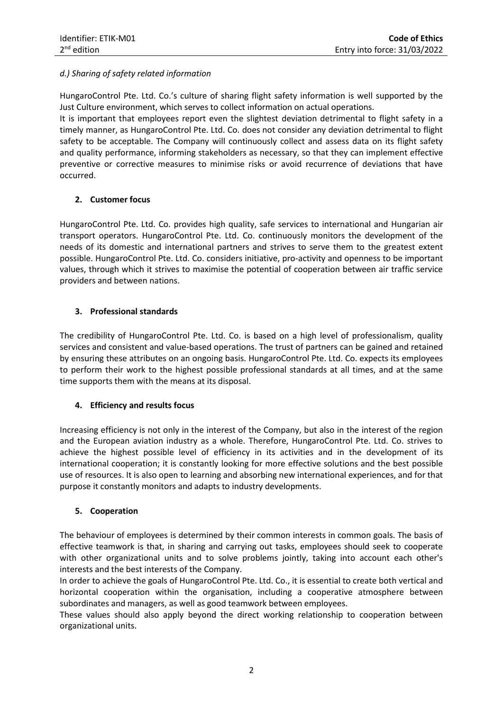# *d.) Sharing of safety related information*

HungaroControl Pte. Ltd. Co.'s culture of sharing flight safety information is well supported by the Just Culture environment, which serves to collect information on actual operations.

It is important that employees report even the slightest deviation detrimental to flight safety in a timely manner, as HungaroControl Pte. Ltd. Co. does not consider any deviation detrimental to flight safety to be acceptable. The Company will continuously collect and assess data on its flight safety and quality performance, informing stakeholders as necessary, so that they can implement effective preventive or corrective measures to minimise risks or avoid recurrence of deviations that have occurred.

# **2. Customer focus**

HungaroControl Pte. Ltd. Co. provides high quality, safe services to international and Hungarian air transport operators. HungaroControl Pte. Ltd. Co. continuously monitors the development of the needs of its domestic and international partners and strives to serve them to the greatest extent possible. HungaroControl Pte. Ltd. Co. considers initiative, pro-activity and openness to be important values, through which it strives to maximise the potential of cooperation between air traffic service providers and between nations.

# **3. Professional standards**

The credibility of HungaroControl Pte. Ltd. Co. is based on a high level of professionalism, quality services and consistent and value-based operations. The trust of partners can be gained and retained by ensuring these attributes on an ongoing basis. HungaroControl Pte. Ltd. Co. expects its employees to perform their work to the highest possible professional standards at all times, and at the same time supports them with the means at its disposal.

## **4. Efficiency and results focus**

Increasing efficiency is not only in the interest of the Company, but also in the interest of the region and the European aviation industry as a whole. Therefore, HungaroControl Pte. Ltd. Co. strives to achieve the highest possible level of efficiency in its activities and in the development of its international cooperation; it is constantly looking for more effective solutions and the best possible use of resources. It is also open to learning and absorbing new international experiences, and for that purpose it constantly monitors and adapts to industry developments.

## **5. Cooperation**

The behaviour of employees is determined by their common interests in common goals. The basis of effective teamwork is that, in sharing and carrying out tasks, employees should seek to cooperate with other organizational units and to solve problems jointly, taking into account each other's interests and the best interests of the Company.

In order to achieve the goals of HungaroControl Pte. Ltd. Co., it is essential to create both vertical and horizontal cooperation within the organisation, including a cooperative atmosphere between subordinates and managers, as well as good teamwork between employees.

These values should also apply beyond the direct working relationship to cooperation between organizational units.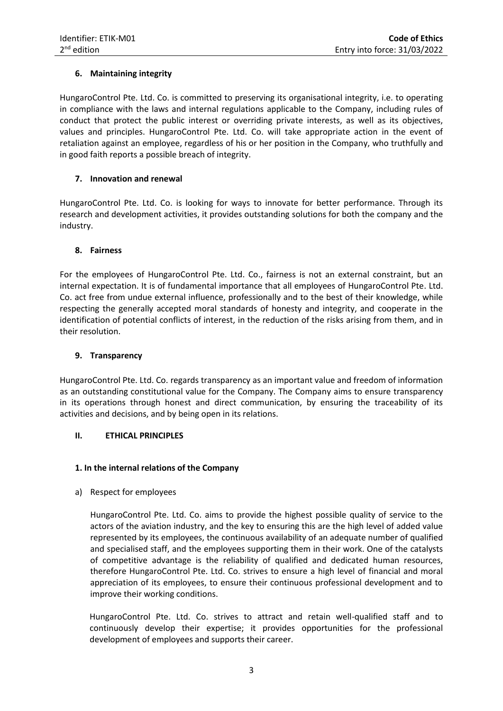# **6. Maintaining integrity**

HungaroControl Pte. Ltd. Co. is committed to preserving its organisational integrity, i.e. to operating in compliance with the laws and internal regulations applicable to the Company, including rules of conduct that protect the public interest or overriding private interests, as well as its objectives, values and principles. HungaroControl Pte. Ltd. Co. will take appropriate action in the event of retaliation against an employee, regardless of his or her position in the Company, who truthfully and in good faith reports a possible breach of integrity.

## **7. Innovation and renewal**

HungaroControl Pte. Ltd. Co. is looking for ways to innovate for better performance. Through its research and development activities, it provides outstanding solutions for both the company and the industry.

# **8. Fairness**

For the employees of HungaroControl Pte. Ltd. Co., fairness is not an external constraint, but an internal expectation. It is of fundamental importance that all employees of HungaroControl Pte. Ltd. Co. act free from undue external influence, professionally and to the best of their knowledge, while respecting the generally accepted moral standards of honesty and integrity, and cooperate in the identification of potential conflicts of interest, in the reduction of the risks arising from them, and in their resolution.

## **9. Transparency**

HungaroControl Pte. Ltd. Co. regards transparency as an important value and freedom of information as an outstanding constitutional value for the Company. The Company aims to ensure transparency in its operations through honest and direct communication, by ensuring the traceability of its activities and decisions, and by being open in its relations.

# **II. ETHICAL PRINCIPLES**

## **1. In the internal relations of the Company**

## a) Respect for employees

HungaroControl Pte. Ltd. Co. aims to provide the highest possible quality of service to the actors of the aviation industry, and the key to ensuring this are the high level of added value represented by its employees, the continuous availability of an adequate number of qualified and specialised staff, and the employees supporting them in their work. One of the catalysts of competitive advantage is the reliability of qualified and dedicated human resources, therefore HungaroControl Pte. Ltd. Co. strives to ensure a high level of financial and moral appreciation of its employees, to ensure their continuous professional development and to improve their working conditions.

HungaroControl Pte. Ltd. Co. strives to attract and retain well-qualified staff and to continuously develop their expertise; it provides opportunities for the professional development of employees and supports their career.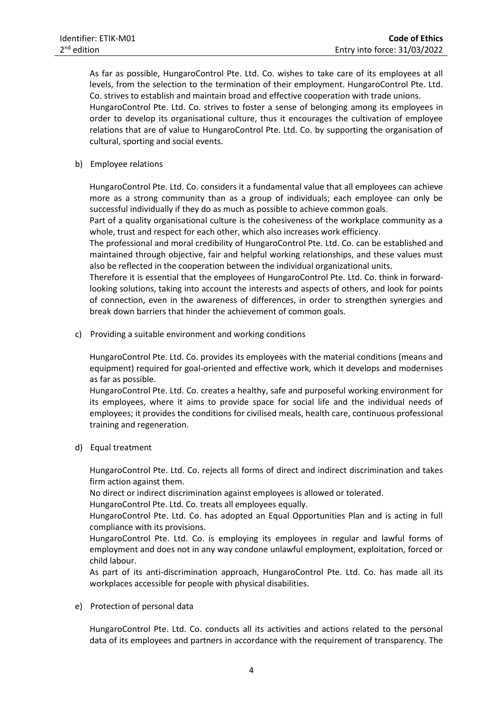As far as possible, HungaroControl Pte. Ltd. Co. wishes to take care of its employees at all levels, from the selection to the termination of their employment. HungaroControl Pte. Ltd. Co. strives to establish and maintain broad and effective cooperation with trade unions. HungaroControl Pte. Ltd. Co. strives to foster a sense of belonging among its employees in order to develop its organisational culture, thus it encourages the cultivation of employee relations that are of value to HungaroControl Pte. Ltd. Co. by supporting the organisation of cultural, sporting and social events.

b) Employee relations

HungaroControl Pte. Ltd. Co. considers it a fundamental value that all employees can achieve more as a strong community than as a group of individuals; each employee can only be successful individually if they do as much as possible to achieve common goals.

Part of a quality organisational culture is the cohesiveness of the workplace community as a whole, trust and respect for each other, which also increases work efficiency.

The professional and moral credibility of HungaroControl Pte. Ltd. Co. can be established and maintained through objective, fair and helpful working relationships, and these values must also be reflected in the cooperation between the individual organizational units.

Therefore it is essential that the employees of HungaroControl Pte. Ltd. Co. think in forwardlooking solutions, taking into account the interests and aspects of others, and look for points of connection, even in the awareness of differences, in order to strengthen synergies and break down barriers that hinder the achievement of common goals.

c) Providing a suitable environment and working conditions

HungaroControl Pte. Ltd. Co. provides its employees with the material conditions (means and equipment) required for goal-oriented and effective work, which it develops and modernises as far as possible.

HungaroControl Pte. Ltd. Co. creates a healthy, safe and purposeful working environment for its employees, where it aims to provide space for social life and the individual needs of employees; it provides the conditions for civilised meals, health care, continuous professional training and regeneration.

d) Equal treatment

HungaroControl Pte. Ltd. Co. rejects all forms of direct and indirect discrimination and takes firm action against them.

No direct or indirect discrimination against employees is allowed or tolerated.

HungaroControl Pte. Ltd. Co. treats all employees equally.

HungaroControl Pte. Ltd. Co. has adopted an Equal Opportunities Plan and is acting in full compliance with its provisions.

HungaroControl Pte. Ltd. Co. is employing its employees in regular and lawful forms of employment and does not in any way condone unlawful employment, exploitation, forced or child labour.

As part of its anti-discrimination approach, HungaroControl Pte. Ltd. Co. has made all its workplaces accessible for people with physical disabilities.

e) Protection of personal data

HungaroControl Pte. Ltd. Co. conducts all its activities and actions related to the personal data of its employees and partners in accordance with the requirement of transparency. The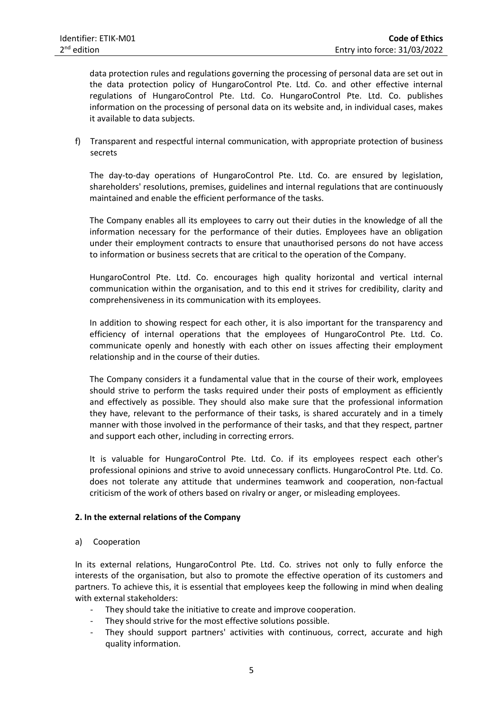data protection rules and regulations governing the processing of personal data are set out in the data protection policy of HungaroControl Pte. Ltd. Co. and other effective internal regulations of HungaroControl Pte. Ltd. Co. HungaroControl Pte. Ltd. Co. publishes information on the processing of personal data on its website and, in individual cases, makes it available to data subjects.

f) Transparent and respectful internal communication, with appropriate protection of business secrets

The day-to-day operations of HungaroControl Pte. Ltd. Co. are ensured by legislation, shareholders' resolutions, premises, guidelines and internal regulations that are continuously maintained and enable the efficient performance of the tasks.

The Company enables all its employees to carry out their duties in the knowledge of all the information necessary for the performance of their duties. Employees have an obligation under their employment contracts to ensure that unauthorised persons do not have access to information or business secrets that are critical to the operation of the Company.

HungaroControl Pte. Ltd. Co. encourages high quality horizontal and vertical internal communication within the organisation, and to this end it strives for credibility, clarity and comprehensiveness in its communication with its employees.

In addition to showing respect for each other, it is also important for the transparency and efficiency of internal operations that the employees of HungaroControl Pte. Ltd. Co. communicate openly and honestly with each other on issues affecting their employment relationship and in the course of their duties.

The Company considers it a fundamental value that in the course of their work, employees should strive to perform the tasks required under their posts of employment as efficiently and effectively as possible. They should also make sure that the professional information they have, relevant to the performance of their tasks, is shared accurately and in a timely manner with those involved in the performance of their tasks, and that they respect, partner and support each other, including in correcting errors.

It is valuable for HungaroControl Pte. Ltd. Co. if its employees respect each other's professional opinions and strive to avoid unnecessary conflicts. HungaroControl Pte. Ltd. Co. does not tolerate any attitude that undermines teamwork and cooperation, non-factual criticism of the work of others based on rivalry or anger, or misleading employees.

## **2. In the external relations of the Company**

## a) Cooperation

In its external relations, HungaroControl Pte. Ltd. Co. strives not only to fully enforce the interests of the organisation, but also to promote the effective operation of its customers and partners. To achieve this, it is essential that employees keep the following in mind when dealing with external stakeholders:

- They should take the initiative to create and improve cooperation.
- They should strive for the most effective solutions possible.
- They should support partners' activities with continuous, correct, accurate and high quality information.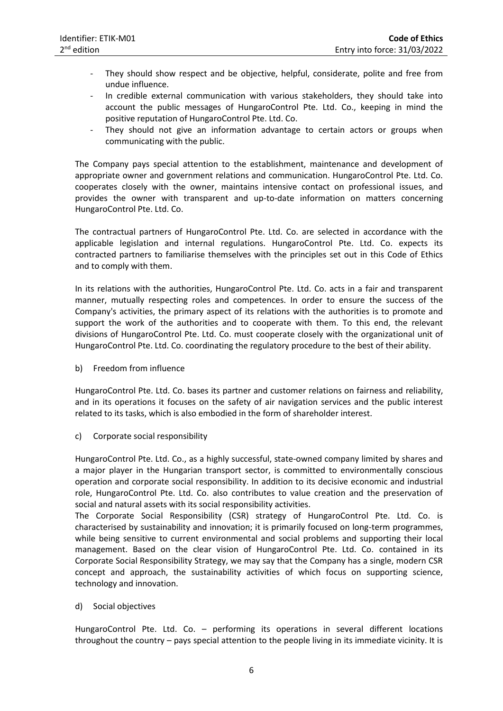- They should show respect and be objective, helpful, considerate, polite and free from undue influence.
- In credible external communication with various stakeholders, they should take into account the public messages of HungaroControl Pte. Ltd. Co., keeping in mind the positive reputation of HungaroControl Pte. Ltd. Co.
- They should not give an information advantage to certain actors or groups when communicating with the public.

The Company pays special attention to the establishment, maintenance and development of appropriate owner and government relations and communication. HungaroControl Pte. Ltd. Co. cooperates closely with the owner, maintains intensive contact on professional issues, and provides the owner with transparent and up-to-date information on matters concerning HungaroControl Pte. Ltd. Co.

The contractual partners of HungaroControl Pte. Ltd. Co. are selected in accordance with the applicable legislation and internal regulations. HungaroControl Pte. Ltd. Co. expects its contracted partners to familiarise themselves with the principles set out in this Code of Ethics and to comply with them.

In its relations with the authorities, HungaroControl Pte. Ltd. Co. acts in a fair and transparent manner, mutually respecting roles and competences. In order to ensure the success of the Company's activities, the primary aspect of its relations with the authorities is to promote and support the work of the authorities and to cooperate with them. To this end, the relevant divisions of HungaroControl Pte. Ltd. Co. must cooperate closely with the organizational unit of HungaroControl Pte. Ltd. Co. coordinating the regulatory procedure to the best of their ability.

b) Freedom from influence

HungaroControl Pte. Ltd. Co. bases its partner and customer relations on fairness and reliability, and in its operations it focuses on the safety of air navigation services and the public interest related to its tasks, which is also embodied in the form of shareholder interest.

c) Corporate social responsibility

HungaroControl Pte. Ltd. Co., as a highly successful, state-owned company limited by shares and a major player in the Hungarian transport sector, is committed to environmentally conscious operation and corporate social responsibility. In addition to its decisive economic and industrial role, HungaroControl Pte. Ltd. Co. also contributes to value creation and the preservation of social and natural assets with its social responsibility activities.

The Corporate Social Responsibility (CSR) strategy of HungaroControl Pte. Ltd. Co. is characterised by sustainability and innovation; it is primarily focused on long-term programmes, while being sensitive to current environmental and social problems and supporting their local management. Based on the clear vision of HungaroControl Pte. Ltd. Co. contained in its Corporate Social Responsibility Strategy, we may say that the Company has a single, modern CSR concept and approach, the sustainability activities of which focus on supporting science, technology and innovation.

d) Social objectives

HungaroControl Pte. Ltd. Co. – performing its operations in several different locations throughout the country – pays special attention to the people living in its immediate vicinity. It is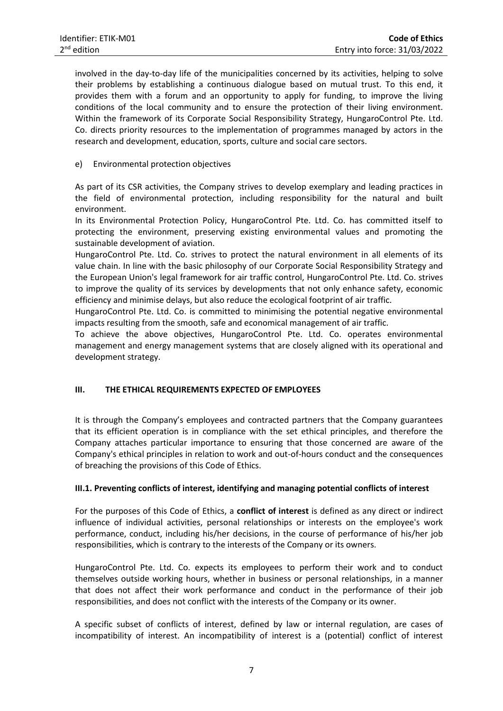involved in the day-to-day life of the municipalities concerned by its activities, helping to solve their problems by establishing a continuous dialogue based on mutual trust. To this end, it provides them with a forum and an opportunity to apply for funding, to improve the living conditions of the local community and to ensure the protection of their living environment. Within the framework of its Corporate Social Responsibility Strategy, HungaroControl Pte. Ltd. Co. directs priority resources to the implementation of programmes managed by actors in the research and development, education, sports, culture and social care sectors.

# e) Environmental protection objectives

As part of its CSR activities, the Company strives to develop exemplary and leading practices in the field of environmental protection, including responsibility for the natural and built environment.

In its Environmental Protection Policy, HungaroControl Pte. Ltd. Co. has committed itself to protecting the environment, preserving existing environmental values and promoting the sustainable development of aviation.

HungaroControl Pte. Ltd. Co. strives to protect the natural environment in all elements of its value chain. In line with the basic philosophy of our Corporate Social Responsibility Strategy and the European Union's legal framework for air traffic control, HungaroControl Pte. Ltd. Co. strives to improve the quality of its services by developments that not only enhance safety, economic efficiency and minimise delays, but also reduce the ecological footprint of air traffic.

HungaroControl Pte. Ltd. Co. is committed to minimising the potential negative environmental impacts resulting from the smooth, safe and economical management of air traffic.

To achieve the above objectives, HungaroControl Pte. Ltd. Co. operates environmental management and energy management systems that are closely aligned with its operational and development strategy.

# **III. THE ETHICAL REQUIREMENTS EXPECTED OF EMPLOYEES**

It is through the Company's employees and contracted partners that the Company guarantees that its efficient operation is in compliance with the set ethical principles, and therefore the Company attaches particular importance to ensuring that those concerned are aware of the Company's ethical principles in relation to work and out-of-hours conduct and the consequences of breaching the provisions of this Code of Ethics.

## **III.1. Preventing conflicts of interest, identifying and managing potential conflicts of interest**

For the purposes of this Code of Ethics, a **conflict of interest** is defined as any direct or indirect influence of individual activities, personal relationships or interests on the employee's work performance, conduct, including his/her decisions, in the course of performance of his/her job responsibilities, which is contrary to the interests of the Company or its owners.

HungaroControl Pte. Ltd. Co. expects its employees to perform their work and to conduct themselves outside working hours, whether in business or personal relationships, in a manner that does not affect their work performance and conduct in the performance of their job responsibilities, and does not conflict with the interests of the Company or its owner.

A specific subset of conflicts of interest, defined by law or internal regulation, are cases of incompatibility of interest. An incompatibility of interest is a (potential) conflict of interest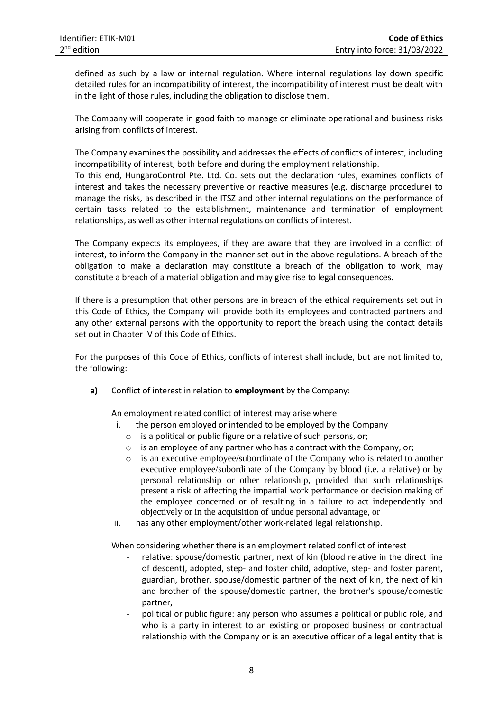defined as such by a law or internal regulation. Where internal regulations lay down specific detailed rules for an incompatibility of interest, the incompatibility of interest must be dealt with in the light of those rules, including the obligation to disclose them.

The Company will cooperate in good faith to manage or eliminate operational and business risks arising from conflicts of interest.

The Company examines the possibility and addresses the effects of conflicts of interest, including incompatibility of interest, both before and during the employment relationship.

To this end, HungaroControl Pte. Ltd. Co. sets out the declaration rules, examines conflicts of interest and takes the necessary preventive or reactive measures (e.g. discharge procedure) to manage the risks, as described in the ITSZ and other internal regulations on the performance of certain tasks related to the establishment, maintenance and termination of employment relationships, as well as other internal regulations on conflicts of interest.

The Company expects its employees, if they are aware that they are involved in a conflict of interest, to inform the Company in the manner set out in the above regulations. A breach of the obligation to make a declaration may constitute a breach of the obligation to work, may constitute a breach of a material obligation and may give rise to legal consequences.

If there is a presumption that other persons are in breach of the ethical requirements set out in this Code of Ethics, the Company will provide both its employees and contracted partners and any other external persons with the opportunity to report the breach using the contact details set out in Chapter IV of this Code of Ethics.

For the purposes of this Code of Ethics, conflicts of interest shall include, but are not limited to, the following:

**a)** Conflict of interest in relation to **employment** by the Company:

An employment related conflict of interest may arise where

- i. the person employed or intended to be employed by the Company
	- o is a political or public figure or a relative of such persons, or;
	- o is an employee of any partner who has a contract with the Company, or;
	- o is an executive employee/subordinate of the Company who is related to another executive employee/subordinate of the Company by blood (i.e. a relative) or by personal relationship or other relationship, provided that such relationships present a risk of affecting the impartial work performance or decision making of the employee concerned or of resulting in a failure to act independently and objectively or in the acquisition of undue personal advantage, or
- ii. has any other employment/other work-related legal relationship.

When considering whether there is an employment related conflict of interest

- relative: spouse/domestic partner, next of kin (blood relative in the direct line of descent), adopted, step- and foster child, adoptive, step- and foster parent, guardian, brother, spouse/domestic partner of the next of kin, the next of kin and brother of the spouse/domestic partner, the brother's spouse/domestic partner,
- political or public figure: any person who assumes a political or public role, and who is a party in interest to an existing or proposed business or contractual relationship with the Company or is an executive officer of a legal entity that is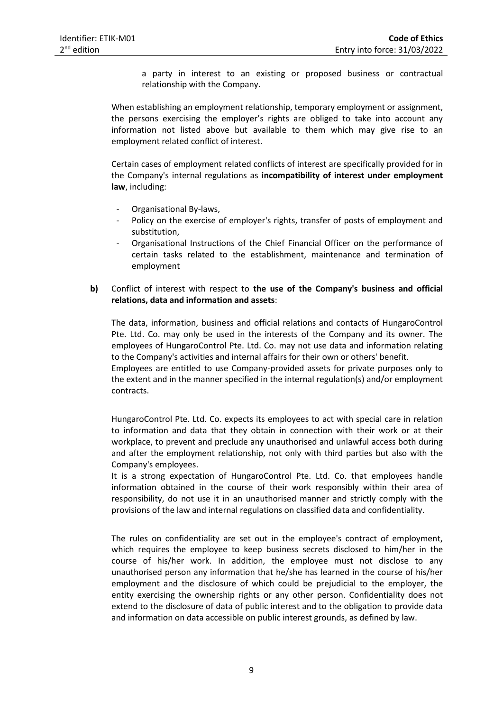a party in interest to an existing or proposed business or contractual relationship with the Company.

When establishing an employment relationship, temporary employment or assignment, the persons exercising the employer's rights are obliged to take into account any information not listed above but available to them which may give rise to an employment related conflict of interest.

Certain cases of employment related conflicts of interest are specifically provided for in the Company's internal regulations as **incompatibility of interest under employment law**, including:

- Organisational By-laws,
- Policy on the exercise of employer's rights, transfer of posts of employment and substitution,
- Organisational Instructions of the Chief Financial Officer on the performance of certain tasks related to the establishment, maintenance and termination of employment
- **b)** Conflict of interest with respect to **the use of the Company's business and official relations, data and information and assets**:

The data, information, business and official relations and contacts of HungaroControl Pte. Ltd. Co. may only be used in the interests of the Company and its owner. The employees of HungaroControl Pte. Ltd. Co. may not use data and information relating to the Company's activities and internal affairs for their own or others' benefit.

Employees are entitled to use Company-provided assets for private purposes only to the extent and in the manner specified in the internal regulation(s) and/or employment contracts.

HungaroControl Pte. Ltd. Co. expects its employees to act with special care in relation to information and data that they obtain in connection with their work or at their workplace, to prevent and preclude any unauthorised and unlawful access both during and after the employment relationship, not only with third parties but also with the Company's employees.

It is a strong expectation of HungaroControl Pte. Ltd. Co. that employees handle information obtained in the course of their work responsibly within their area of responsibility, do not use it in an unauthorised manner and strictly comply with the provisions of the law and internal regulations on classified data and confidentiality.

The rules on confidentiality are set out in the employee's contract of employment, which requires the employee to keep business secrets disclosed to him/her in the course of his/her work. In addition, the employee must not disclose to any unauthorised person any information that he/she has learned in the course of his/her employment and the disclosure of which could be prejudicial to the employer, the entity exercising the ownership rights or any other person. Confidentiality does not extend to the disclosure of data of public interest and to the obligation to provide data and information on data accessible on public interest grounds, as defined by law.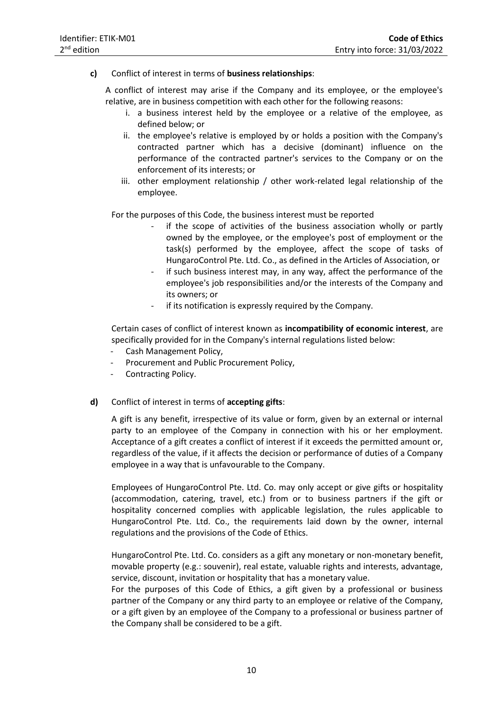**c)** Conflict of interest in terms of **business relationships**:

A conflict of interest may arise if the Company and its employee, or the employee's relative, are in business competition with each other for the following reasons:

- i. a business interest held by the employee or a relative of the employee, as defined below; or
- ii. the employee's relative is employed by or holds a position with the Company's contracted partner which has a decisive (dominant) influence on the performance of the contracted partner's services to the Company or on the enforcement of its interests; or
- iii. other employment relationship / other work-related legal relationship of the employee.

For the purposes of this Code, the business interest must be reported

- if the scope of activities of the business association wholly or partly owned by the employee, or the employee's post of employment or the task(s) performed by the employee, affect the scope of tasks of HungaroControl Pte. Ltd. Co., as defined in the Articles of Association, or
- if such business interest may, in any way, affect the performance of the employee's job responsibilities and/or the interests of the Company and its owners; or
- if its notification is expressly required by the Company.

Certain cases of conflict of interest known as **incompatibility of economic interest**, are specifically provided for in the Company's internal regulations listed below:

- Cash Management Policy.
- Procurement and Public Procurement Policy,
- Contracting Policy.
- **d)** Conflict of interest in terms of **accepting gifts**:

A gift is any benefit, irrespective of its value or form, given by an external or internal party to an employee of the Company in connection with his or her employment. Acceptance of a gift creates a conflict of interest if it exceeds the permitted amount or, regardless of the value, if it affects the decision or performance of duties of a Company employee in a way that is unfavourable to the Company.

Employees of HungaroControl Pte. Ltd. Co. may only accept or give gifts or hospitality (accommodation, catering, travel, etc.) from or to business partners if the gift or hospitality concerned complies with applicable legislation, the rules applicable to HungaroControl Pte. Ltd. Co., the requirements laid down by the owner, internal regulations and the provisions of the Code of Ethics.

HungaroControl Pte. Ltd. Co. considers as a gift any monetary or non-monetary benefit, movable property (e.g.: souvenir), real estate, valuable rights and interests, advantage, service, discount, invitation or hospitality that has a monetary value.

For the purposes of this Code of Ethics, a gift given by a professional or business partner of the Company or any third party to an employee or relative of the Company, or a gift given by an employee of the Company to a professional or business partner of the Company shall be considered to be a gift.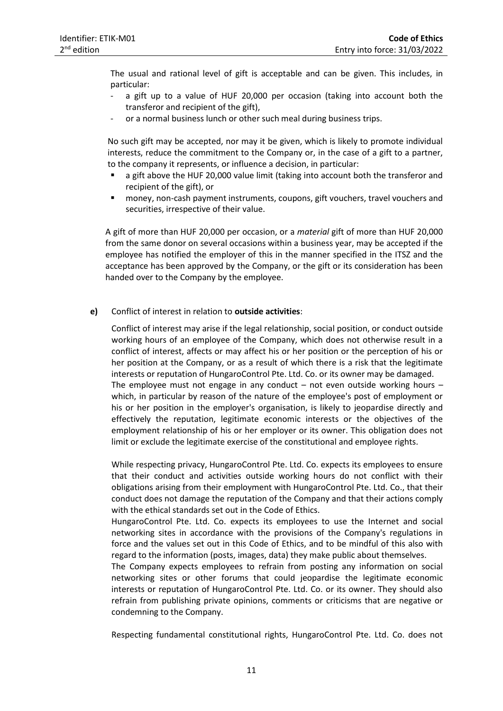The usual and rational level of gift is acceptable and can be given. This includes, in particular:

- a gift up to a value of HUF 20,000 per occasion (taking into account both the transferor and recipient of the gift),
- or a normal business lunch or other such meal during business trips.

No such gift may be accepted, nor may it be given, which is likely to promote individual interests, reduce the commitment to the Company or, in the case of a gift to a partner, to the company it represents, or influence a decision, in particular:

- a gift above the HUF 20,000 value limit (taking into account both the transferor and recipient of the gift), or
- money, non-cash payment instruments, coupons, gift vouchers, travel vouchers and securities, irrespective of their value.

A gift of more than HUF 20,000 per occasion, or a *material* gift of more than HUF 20,000 from the same donor on several occasions within a business year, may be accepted if the employee has notified the employer of this in the manner specified in the ITSZ and the acceptance has been approved by the Company, or the gift or its consideration has been handed over to the Company by the employee.

#### **e)** Conflict of interest in relation to **outside activities**:

Conflict of interest may arise if the legal relationship, social position, or conduct outside working hours of an employee of the Company, which does not otherwise result in a conflict of interest, affects or may affect his or her position or the perception of his or her position at the Company, or as a result of which there is a risk that the legitimate interests or reputation of HungaroControl Pte. Ltd. Co. or its owner may be damaged. The employee must not engage in any conduct  $-$  not even outside working hours  $$ which, in particular by reason of the nature of the employee's post of employment or his or her position in the employer's organisation, is likely to jeopardise directly and effectively the reputation, legitimate economic interests or the objectives of the employment relationship of his or her employer or its owner. This obligation does not limit or exclude the legitimate exercise of the constitutional and employee rights.

While respecting privacy, HungaroControl Pte. Ltd. Co. expects its employees to ensure that their conduct and activities outside working hours do not conflict with their obligations arising from their employment with HungaroControl Pte. Ltd. Co., that their conduct does not damage the reputation of the Company and that their actions comply with the ethical standards set out in the Code of Ethics.

HungaroControl Pte. Ltd. Co. expects its employees to use the Internet and social networking sites in accordance with the provisions of the Company's regulations in force and the values set out in this Code of Ethics, and to be mindful of this also with regard to the information (posts, images, data) they make public about themselves.

The Company expects employees to refrain from posting any information on social networking sites or other forums that could jeopardise the legitimate economic interests or reputation of HungaroControl Pte. Ltd. Co. or its owner. They should also refrain from publishing private opinions, comments or criticisms that are negative or condemning to the Company.

Respecting fundamental constitutional rights, HungaroControl Pte. Ltd. Co. does not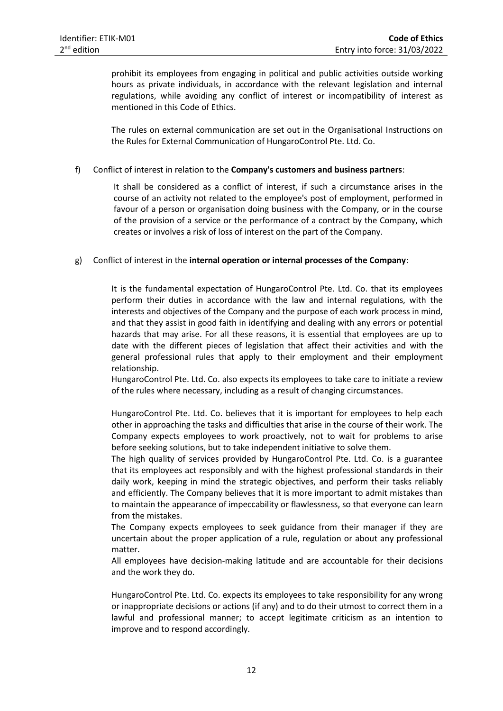prohibit its employees from engaging in political and public activities outside working hours as private individuals, in accordance with the relevant legislation and internal regulations, while avoiding any conflict of interest or incompatibility of interest as mentioned in this Code of Ethics.

The rules on external communication are set out in the Organisational Instructions on the Rules for External Communication of HungaroControl Pte. Ltd. Co.

## f) Conflict of interest in relation to the **Company's customers and business partners**:

It shall be considered as a conflict of interest, if such a circumstance arises in the course of an activity not related to the employee's post of employment, performed in favour of a person or organisation doing business with the Company, or in the course of the provision of a service or the performance of a contract by the Company, which creates or involves a risk of loss of interest on the part of the Company.

# g) Conflict of interest in the **internal operation or internal processes of the Company**:

It is the fundamental expectation of HungaroControl Pte. Ltd. Co. that its employees perform their duties in accordance with the law and internal regulations, with the interests and objectives of the Company and the purpose of each work process in mind, and that they assist in good faith in identifying and dealing with any errors or potential hazards that may arise. For all these reasons, it is essential that employees are up to date with the different pieces of legislation that affect their activities and with the general professional rules that apply to their employment and their employment relationship.

HungaroControl Pte. Ltd. Co. also expects its employees to take care to initiate a review of the rules where necessary, including as a result of changing circumstances.

HungaroControl Pte. Ltd. Co. believes that it is important for employees to help each other in approaching the tasks and difficulties that arise in the course of their work. The Company expects employees to work proactively, not to wait for problems to arise before seeking solutions, but to take independent initiative to solve them.

The high quality of services provided by HungaroControl Pte. Ltd. Co. is a guarantee that its employees act responsibly and with the highest professional standards in their daily work, keeping in mind the strategic objectives, and perform their tasks reliably and efficiently. The Company believes that it is more important to admit mistakes than to maintain the appearance of impeccability or flawlessness, so that everyone can learn from the mistakes.

The Company expects employees to seek guidance from their manager if they are uncertain about the proper application of a rule, regulation or about any professional matter.

All employees have decision-making latitude and are accountable for their decisions and the work they do.

HungaroControl Pte. Ltd. Co. expects its employees to take responsibility for any wrong or inappropriate decisions or actions (if any) and to do their utmost to correct them in a lawful and professional manner; to accept legitimate criticism as an intention to improve and to respond accordingly.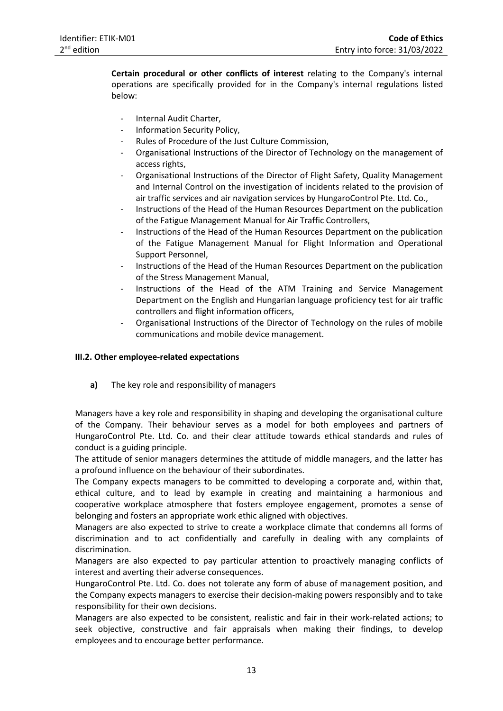**Certain procedural or other conflicts of interest** relating to the Company's internal operations are specifically provided for in the Company's internal regulations listed below:

- Internal Audit Charter,
- Information Security Policy,
- Rules of Procedure of the Just Culture Commission,
- Organisational Instructions of the Director of Technology on the management of access rights,
- Organisational Instructions of the Director of Flight Safety, Quality Management and Internal Control on the investigation of incidents related to the provision of air traffic services and air navigation services by HungaroControl Pte. Ltd. Co.,
- Instructions of the Head of the Human Resources Department on the publication of the Fatigue Management Manual for Air Traffic Controllers,
- Instructions of the Head of the Human Resources Department on the publication of the Fatigue Management Manual for Flight Information and Operational Support Personnel,
- Instructions of the Head of the Human Resources Department on the publication of the Stress Management Manual,
- Instructions of the Head of the ATM Training and Service Management Department on the English and Hungarian language proficiency test for air traffic controllers and flight information officers,
- Organisational Instructions of the Director of Technology on the rules of mobile communications and mobile device management.

## **III.2. Other employee-related expectations**

**a)** The key role and responsibility of managers

Managers have a key role and responsibility in shaping and developing the organisational culture of the Company. Their behaviour serves as a model for both employees and partners of HungaroControl Pte. Ltd. Co. and their clear attitude towards ethical standards and rules of conduct is a guiding principle.

The attitude of senior managers determines the attitude of middle managers, and the latter has a profound influence on the behaviour of their subordinates.

The Company expects managers to be committed to developing a corporate and, within that, ethical culture, and to lead by example in creating and maintaining a harmonious and cooperative workplace atmosphere that fosters employee engagement, promotes a sense of belonging and fosters an appropriate work ethic aligned with objectives.

Managers are also expected to strive to create a workplace climate that condemns all forms of discrimination and to act confidentially and carefully in dealing with any complaints of discrimination.

Managers are also expected to pay particular attention to proactively managing conflicts of interest and averting their adverse consequences.

HungaroControl Pte. Ltd. Co. does not tolerate any form of abuse of management position, and the Company expects managers to exercise their decision-making powers responsibly and to take responsibility for their own decisions.

Managers are also expected to be consistent, realistic and fair in their work-related actions; to seek objective, constructive and fair appraisals when making their findings, to develop employees and to encourage better performance.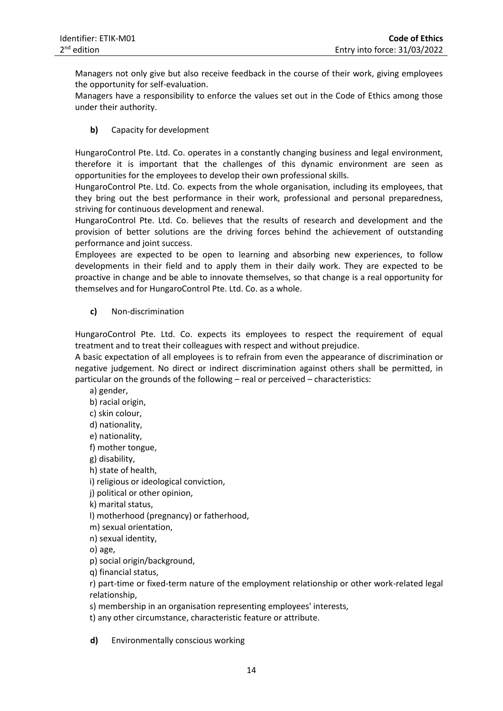Managers not only give but also receive feedback in the course of their work, giving employees the opportunity for self-evaluation.

Managers have a responsibility to enforce the values set out in the Code of Ethics among those under their authority.

**b)** Capacity for development

HungaroControl Pte. Ltd. Co. operates in a constantly changing business and legal environment, therefore it is important that the challenges of this dynamic environment are seen as opportunities for the employees to develop their own professional skills.

HungaroControl Pte. Ltd. Co. expects from the whole organisation, including its employees, that they bring out the best performance in their work, professional and personal preparedness, striving for continuous development and renewal.

HungaroControl Pte. Ltd. Co. believes that the results of research and development and the provision of better solutions are the driving forces behind the achievement of outstanding performance and joint success.

Employees are expected to be open to learning and absorbing new experiences, to follow developments in their field and to apply them in their daily work. They are expected to be proactive in change and be able to innovate themselves, so that change is a real opportunity for themselves and for HungaroControl Pte. Ltd. Co. as a whole.

**c)** Non-discrimination

HungaroControl Pte. Ltd. Co. expects its employees to respect the requirement of equal treatment and to treat their colleagues with respect and without prejudice.

A basic expectation of all employees is to refrain from even the appearance of discrimination or negative judgement. No direct or indirect discrimination against others shall be permitted, in particular on the grounds of the following – real or perceived – characteristics:

a) gender,

- b) racial origin,
- c) skin colour,
- d) nationality,
- e) nationality,
- f) mother tongue,

g) disability,

h) state of health,

i) religious or ideological conviction,

- j) political or other opinion,
- k) marital status,

l) motherhood (pregnancy) or fatherhood,

- m) sexual orientation,
- n) sexual identity,
- o) age,

p) social origin/background,

q) financial status,

r) part-time or fixed-term nature of the employment relationship or other work-related legal relationship,

s) membership in an organisation representing employees' interests,

t) any other circumstance, characteristic feature or attribute.

**d)** Environmentally conscious working